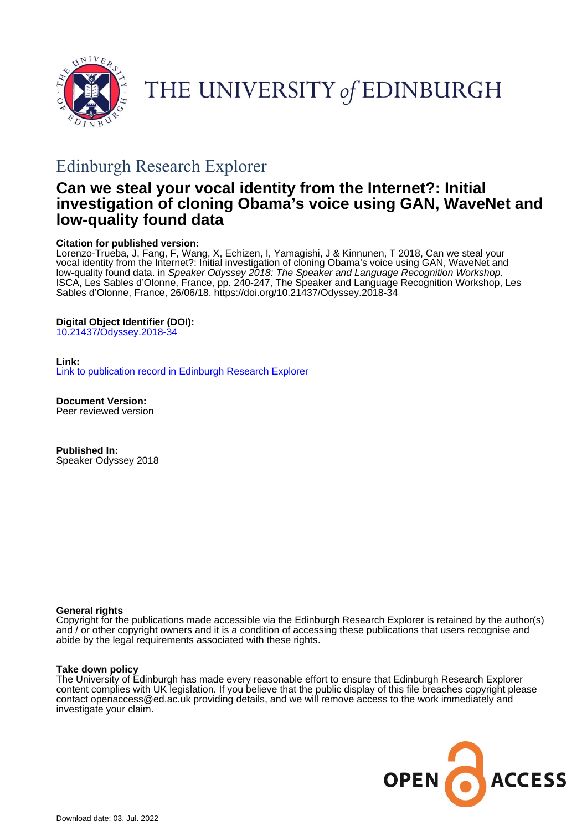

THE UNIVERSITY of EDINBURGH

# Edinburgh Research Explorer

## **Can we steal your vocal identity from the Internet?: Initial investigation of cloning Obama's voice using GAN, WaveNet and low-quality found data**

## **Citation for published version:**

Lorenzo-Trueba, J, Fang, F, Wang, X, Echizen, I, Yamagishi, J & Kinnunen, T 2018, Can we steal your vocal identity from the Internet?: Initial investigation of cloning Obama's voice using GAN, WaveNet and low-quality found data. in Speaker Odyssey 2018: The Speaker and Language Recognition Workshop. ISCA, Les Sables d'Olonne, France, pp. 240-247, The Speaker and Language Recognition Workshop, Les Sables d'Olonne, France, 26/06/18.<https://doi.org/10.21437/Odyssey.2018-34>

## **Digital Object Identifier (DOI):**

[10.21437/Odyssey.2018-34](https://doi.org/10.21437/Odyssey.2018-34)

## **Link:**

[Link to publication record in Edinburgh Research Explorer](https://www.research.ed.ac.uk/en/publications/b0f8d0d2-a1af-4a92-9c55-fe720428365c)

**Document Version:** Peer reviewed version

**Published In:** Speaker Odyssey 2018

## **General rights**

Copyright for the publications made accessible via the Edinburgh Research Explorer is retained by the author(s) and / or other copyright owners and it is a condition of accessing these publications that users recognise and abide by the legal requirements associated with these rights.

## **Take down policy**

The University of Edinburgh has made every reasonable effort to ensure that Edinburgh Research Explorer content complies with UK legislation. If you believe that the public display of this file breaches copyright please contact openaccess@ed.ac.uk providing details, and we will remove access to the work immediately and investigate your claim.

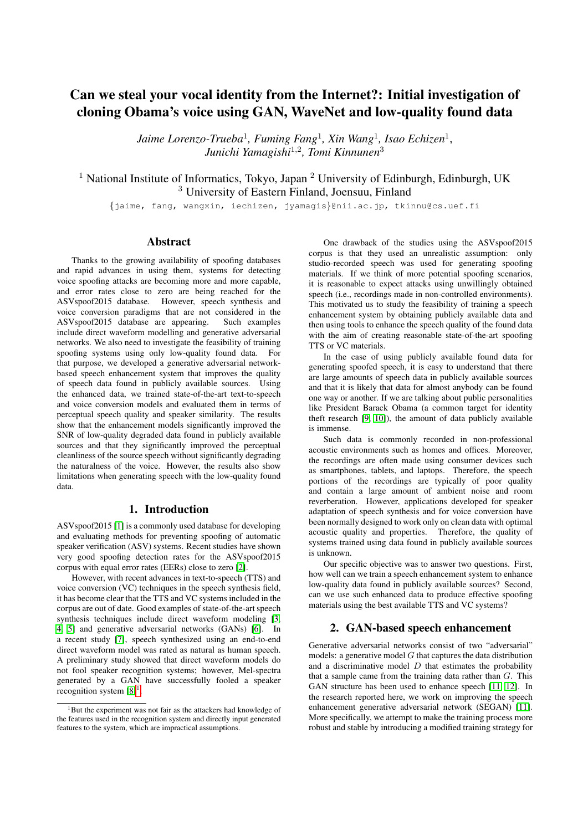## Can we steal your vocal identity from the Internet?: Initial investigation of cloning Obama's voice using GAN, WaveNet and low-quality found data

*Jaime Lorenzo-Trueba*<sup>1</sup> *, Fuming Fang*<sup>1</sup> *, Xin Wang*<sup>1</sup> *, Isao Echizen*<sup>1</sup> , *Junichi Yamagishi*<sup>1</sup>,<sup>2</sup> *, Tomi Kinnunen*<sup>3</sup>

<sup>1</sup> National Institute of Informatics, Tokyo, Japan  $^2$  University of Edinburgh, Edinburgh, UK <sup>3</sup> University of Eastern Finland, Joensuu, Finland

{jaime, fang, wangxin, iechizen, jyamagis}@nii.ac.jp, tkinnu@cs.uef.fi

## Abstract

Thanks to the growing availability of spoofing databases and rapid advances in using them, systems for detecting voice spoofing attacks are becoming more and more capable, and error rates close to zero are being reached for the ASVspoof2015 database. However, speech synthesis and voice conversion paradigms that are not considered in the ASVspoof2015 database are appearing. Such examples  $ASVspoof2015$  database are appearing. include direct waveform modelling and generative adversarial networks. We also need to investigate the feasibility of training spoofing systems using only low-quality found data. For that purpose, we developed a generative adversarial networkbased speech enhancement system that improves the quality of speech data found in publicly available sources. Using the enhanced data, we trained state-of-the-art text-to-speech and voice conversion models and evaluated them in terms of perceptual speech quality and speaker similarity. The results show that the enhancement models significantly improved the SNR of low-quality degraded data found in publicly available sources and that they significantly improved the perceptual cleanliness of the source speech without significantly degrading the naturalness of the voice. However, the results also show limitations when generating speech with the low-quality found data.

## 1. Introduction

ASVspoof2015 [\[1\]](#page-7-0) is a commonly used database for developing and evaluating methods for preventing spoofing of automatic speaker verification (ASV) systems. Recent studies have shown very good spoofing detection rates for the ASVspoof2015 corpus with equal error rates (EERs) close to zero [\[2\]](#page-8-0).

However, with recent advances in text-to-speech (TTS) and voice conversion (VC) techniques in the speech synthesis field, it has become clear that the TTS and VC systems included in the corpus are out of date. Good examples of state-of-the-art speech synthesis techniques include direct waveform modeling [\[3,](#page-8-1) [4,](#page-8-2) [5\]](#page-8-3) and generative adversarial networks (GANs) [\[6\]](#page-8-4). In a recent study [\[7\]](#page-8-5), speech synthesized using an end-to-end direct waveform model was rated as natural as human speech. A preliminary study showed that direct waveform models do not fool speaker recognition systems; however, Mel-spectra generated by a GAN have successfully fooled a speaker recognition system  $[8]$ <sup>[1](#page-1-0)</sup>.

One drawback of the studies using the ASVspoof2015 corpus is that they used an unrealistic assumption: only studio-recorded speech was used for generating spoofing materials. If we think of more potential spoofing scenarios, it is reasonable to expect attacks using unwillingly obtained speech (*i.e.*, recordings made in non-controlled environments). This motivated us to study the feasibility of training a speech enhancement system by obtaining publicly available data and then using tools to enhance the speech quality of the found data with the aim of creating reasonable state-of-the-art spoofing TTS or VC materials.

In the case of using publicly available found data for generating spoofed speech, it is easy to understand that there are large amounts of speech data in publicly available sources and that it is likely that data for almost anybody can be found one way or another. If we are talking about public personalities like President Barack Obama (a common target for identity theft research [\[9,](#page-8-7) [10\]](#page-8-8)), the amount of data publicly available is immense.

Such data is commonly recorded in non-professional acoustic environments such as homes and offices. Moreover, the recordings are often made using consumer devices such as smartphones, tablets, and laptops. Therefore, the speech portions of the recordings are typically of poor quality and contain a large amount of ambient noise and room reverberation. However, applications developed for speaker adaptation of speech synthesis and for voice conversion have been normally designed to work only on clean data with optimal acoustic quality and properties. Therefore, the quality of systems trained using data found in publicly available sources is unknown.

Our specific objective was to answer two questions. First, how well can we train a speech enhancement system to enhance low-quality data found in publicly available sources? Second, can we use such enhanced data to produce effective spoofing materials using the best available TTS and VC systems?

## 2. GAN-based speech enhancement

Generative adversarial networks consist of two "adversarial" models: a generative model  $G$  that captures the data distribution and a discriminative model  $D$  that estimates the probability that a sample came from the training data rather than  $G$ . This GAN structure has been used to enhance speech [\[11,](#page-8-9) [12\]](#page-8-10). In the research reported here, we work on improving the speech enhancement generative adversarial network (SEGAN) [\[11\]](#page-8-9). More specifically, we attempt to make the training process more robust and stable by introducing a modified training strategy for

<span id="page-1-0"></span> $1$ But the experiment was not fair as the attackers had knowledge of the features used in the recognition system and directly input generated features to the system, which are impractical assumptions.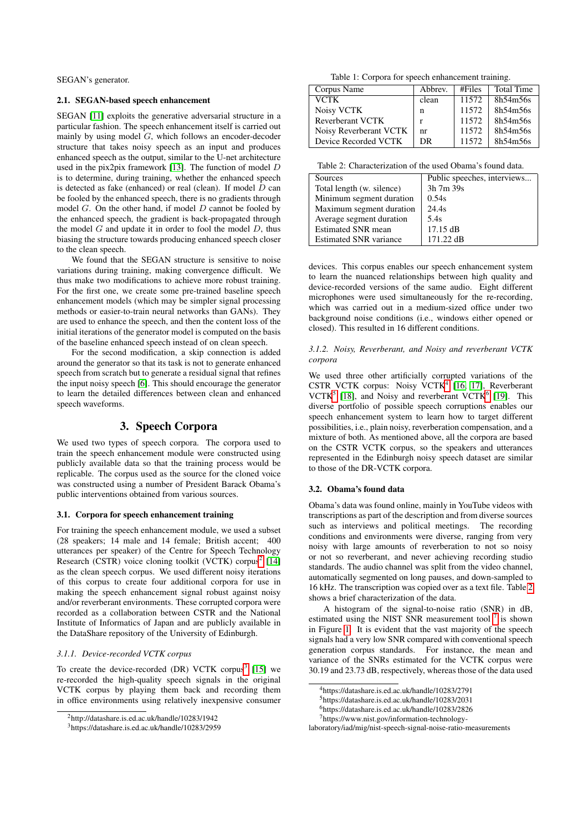SEGAN's generator.

## <span id="page-2-9"></span>2.1. SEGAN-based speech enhancement

SEGAN [\[11\]](#page-8-9) exploits the generative adversarial structure in a particular fashion. The speech enhancement itself is carried out mainly by using model  $G$ , which follows an encoder-decoder structure that takes noisy speech as an input and produces enhanced speech as the output, similar to the U-net architecture used in the pix2pix framework [\[13\]](#page-8-11). The function of model D is to determine, during training, whether the enhanced speech is detected as fake (enhanced) or real (clean). If model  $D$  can be fooled by the enhanced speech, there is no gradients through model  $G$ . On the other hand, if model  $D$  cannot be fooled by the enhanced speech, the gradient is back-propagated through the model  $G$  and update it in order to fool the model  $D$ , thus biasing the structure towards producing enhanced speech closer to the clean speech.

We found that the SEGAN structure is sensitive to noise variations during training, making convergence difficult. We thus make two modifications to achieve more robust training. For the first one, we create some pre-trained baseline speech enhancement models (which may be simpler signal processing methods or easier-to-train neural networks than GANs). They are used to enhance the speech, and then the content loss of the initial iterations of the generator model is computed on the basis of the baseline enhanced speech instead of on clean speech.

For the second modification, a skip connection is added around the generator so that its task is not to generate enhanced speech from scratch but to generate a residual signal that refines the input noisy speech [\[6\]](#page-8-4). This should encourage the generator to learn the detailed differences between clean and enhanced speech waveforms.

## 3. Speech Corpora

We used two types of speech corpora. The corpora used to train the speech enhancement module were constructed using publicly available data so that the training process would be replicable. The corpus used as the source for the cloned voice was constructed using a number of President Barack Obama's public interventions obtained from various sources.

#### 3.1. Corpora for speech enhancement training

For training the speech enhancement module, we used a subset (28 speakers; 14 male and 14 female; British accent; 400 utterances per speaker) of the Centre for Speech Technology Research (CSTR) voice cloning toolkit (VCTK) corpus<sup>[2](#page-2-0)</sup> [\[14\]](#page-8-12) as the clean speech corpus. We used different noisy iterations of this corpus to create four additional corpora for use in making the speech enhancement signal robust against noisy and/or reverberant environments. These corrupted corpora were recorded as a collaboration between CSTR and the National Institute of Informatics of Japan and are publicly available in the DataShare repository of the University of Edinburgh.

#### *3.1.1. Device-recorded VCTK corpus*

To create the device-recorded (DR) VCTK corpus<sup>[3](#page-2-1)</sup> [\[15\]](#page-8-13) we re-recorded the high-quality speech signals in the original VCTK corpus by playing them back and recording them in office environments using relatively inexpensive consumer

Table 1: Corpora for speech enhancement training.

<span id="page-2-7"></span>

| Corpus Name            | Abbrev. | #Files | <b>Total Time</b> |
|------------------------|---------|--------|-------------------|
| VCTK                   | clean   | 11572  | 8h54m56s          |
| Noisy VCTK             | n       | 11572  | 8h54m56s          |
| Reverberant VCTK       |         | 11572  | 8h54m56s          |
| Noisy Reverberant VCTK | nr      | 11572  | 8h54m56s          |
| Device Recorded VCTK   | DR.     | 11572  | 8h54m56s          |

<span id="page-2-5"></span>Table 2: Characterization of the used Obama's found data.

| Sources                       | Public speeches, interviews |
|-------------------------------|-----------------------------|
| Total length (w. silence)     | 3h 7m 39s                   |
| Minimum segment duration      | 0.54s                       |
| Maximum segment duration      | 24.4s                       |
| Average segment duration      | 5.4s                        |
| <b>Estimated SNR mean</b>     | $17.15 \text{ dB}$          |
| <b>Estimated SNR</b> variance | $171.22 \text{ dB}$         |

devices. This corpus enables our speech enhancement system to learn the nuanced relationships between high quality and device-recorded versions of the same audio. Eight different microphones were used simultaneously for the re-recording, which was carried out in a medium-sized office under two background noise conditions (i.e., windows either opened or closed). This resulted in 16 different conditions.

#### *3.1.2. Noisy, Reverberant, and Noisy and reverberant VCTK corpora*

We used three other artificially corrupted variations of the CSTR VCTK corpus: Noisy VCTK[4](#page-2-2) [\[16,](#page-8-14) [17\]](#page-8-15), Reverberant  $VCTK<sup>5</sup>$  $VCTK<sup>5</sup>$  $VCTK<sup>5</sup>$  [\[18\]](#page-8-16), and Noisy and reverberant  $VCTK<sup>6</sup>$  $VCTK<sup>6</sup>$  $VCTK<sup>6</sup>$  [\[19\]](#page-8-17). This diverse portfolio of possible speech corruptions enables our speech enhancement system to learn how to target different possibilities, i.e., plain noisy, reverberation compensation, and a mixture of both. As mentioned above, all the corpora are based on the CSTR VCTK corpus, so the speakers and utterances represented in the Edinburgh noisy speech dataset are similar to those of the DR-VCTK corpora.

#### <span id="page-2-8"></span>3.2. Obama's found data

Obama's data was found online, mainly in YouTube videos with transcriptions as part of the description and from diverse sources such as interviews and political meetings. The recording conditions and environments were diverse, ranging from very noisy with large amounts of reverberation to not so noisy or not so reverberant, and never achieving recording studio standards. The audio channel was split from the video channel, automatically segmented on long pauses, and down-sampled to 16 kHz. The transcription was copied over as a text file. Table [2](#page-2-5) shows a brief characterization of the data.

A histogram of the signal-to-noise ratio (SNR) in dB, estimated using the NIST SNR measurement tool  $<sup>7</sup>$  $<sup>7</sup>$  $<sup>7</sup>$  is shown</sup> in Figure [1.](#page-3-0) It is evident that the vast majority of the speech signals had a very low SNR compared with conventional speech generation corpus standards. For instance, the mean and variance of the SNRs estimated for the VCTK corpus were 30.19 and 23.73 dB, respectively, whereas those of the data used

<span id="page-2-4"></span><sup>6</sup>https://datashare.is.ed.ac.uk/handle/10283/2826

<span id="page-2-0"></span> $^{2}$ http://datashare.is.ed.ac.uk/handle/10283/1942

<span id="page-2-1"></span><sup>3</sup>https://datashare.is.ed.ac.uk/handle/10283/2959

<span id="page-2-2"></span><sup>4</sup>https://datashare.is.ed.ac.uk/handle/10283/2791

<span id="page-2-3"></span><sup>5</sup>https://datashare.is.ed.ac.uk/handle/10283/2031

<span id="page-2-6"></span><sup>7</sup>https://www.nist.gov/information-technology-

laboratory/iad/mig/nist-speech-signal-noise-ratio-measurements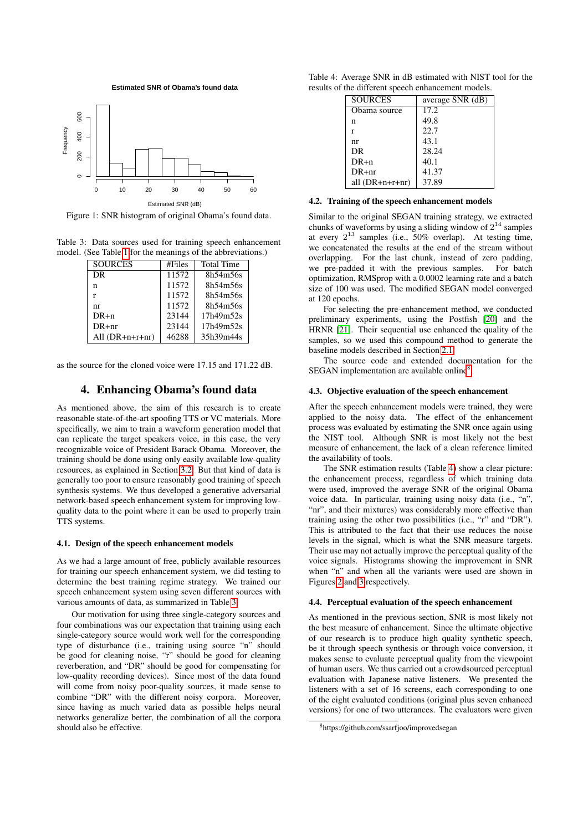**Estimated SNR of Obama's found data**

<span id="page-3-0"></span>

Figure 1: SNR histogram of original Obama's found data.

<span id="page-3-1"></span>Table 3: Data sources used for training speech enhancement model. (See Table [1](#page-2-7) for the meanings of the abbreviations.)

| <b>SOURCES</b>    | #Files | <b>Total Time</b> |
|-------------------|--------|-------------------|
| DR.               | 11572  | 8h54m56s          |
| n                 | 11572  | 8h54m56s          |
| r                 | 11572  | 8h54m56s          |
| nr                | 11572  | 8h54m56s          |
| $DR+n$            | 23144  | 17h49m52s         |
| $DR + nr$         | 23144  | 17h49m52s         |
| All $(DR+n+r+nr)$ | 46288  | 35h39m44s         |

<span id="page-3-4"></span>as the source for the cloned voice were 17.15 and 171.22 dB.

## 4. Enhancing Obama's found data

As mentioned above, the aim of this research is to create reasonable state-of-the-art spoofing TTS or VC materials. More specifically, we aim to train a waveform generation model that can replicate the target speakers voice, in this case, the very recognizable voice of President Barack Obama. Moreover, the training should be done using only easily available low-quality resources, as explained in Section [3.2.](#page-2-8) But that kind of data is generally too poor to ensure reasonably good training of speech synthesis systems. We thus developed a generative adversarial network-based speech enhancement system for improving lowquality data to the point where it can be used to properly train TTS systems.

#### 4.1. Design of the speech enhancement models

As we had a large amount of free, publicly available resources for training our speech enhancement system, we did testing to determine the best training regime strategy. We trained our speech enhancement system using seven different sources with various amounts of data, as summarized in Table [3.](#page-3-1)

Our motivation for using three single-category sources and four combinations was our expectation that training using each single-category source would work well for the corresponding type of disturbance (i.e., training using source "n" should be good for cleaning noise, "r" should be good for cleaning reverberation, and "DR" should be good for compensating for low-quality recording devices). Since most of the data found will come from noisy poor-quality sources, it made sense to combine "DR" with the different noisy corpora. Moreover, since having as much varied data as possible helps neural networks generalize better, the combination of all the corpora should also be effective.

<span id="page-3-3"></span>Table 4: Average SNR in dB estimated with NIST tool for the results of the different speech enhancement models.

| <b>SOURCES</b>    | average SNR (dB) |
|-------------------|------------------|
| Obama source      | 17.2             |
| n                 | 49.8             |
| r                 | 22.7             |
| nr                | 43.1             |
| DR.               | 28.24            |
| $DR+n$            | 40.1             |
| $DR + nr$         | 41.37            |
| all $(DR+n+r+nr)$ | 37.89            |

#### 4.2. Training of the speech enhancement models

Similar to the original SEGAN training strategy, we extracted chunks of waveforms by using a sliding window of  $2^{14}$  samples at every  $2^{13}$  samples (i.e., 50% overlap). At testing time, we concatenated the results at the end of the stream without overlapping. For the last chunk, instead of zero padding, we pre-padded it with the previous samples. For batch optimization, RMSprop with a 0.0002 learning rate and a batch size of 100 was used. The modified SEGAN model converged at 120 epochs.

For selecting the pre-enhancement method, we conducted preliminary experiments, using the Postfish [\[20\]](#page-8-18) and the HRNR [\[21\]](#page-8-19). Their sequential use enhanced the quality of the samples, so we used this compound method to generate the baseline models described in Section [2.1.](#page-2-9)

The source code and extended documentation for the SEGAN implementation are available online<sup>[8](#page-3-2)</sup>.

#### 4.3. Objective evaluation of the speech enhancement

After the speech enhancement models were trained, they were applied to the noisy data. The effect of the enhancement process was evaluated by estimating the SNR once again using the NIST tool. Although SNR is most likely not the best measure of enhancement, the lack of a clean reference limited the availability of tools.

The SNR estimation results (Table [4\)](#page-3-3) show a clear picture: the enhancement process, regardless of which training data were used, improved the average SNR of the original Obama voice data. In particular, training using noisy data (i.e., "n", "nr", and their mixtures) was considerably more effective than training using the other two possibilities (i.e., "r" and "DR"). This is attributed to the fact that their use reduces the noise levels in the signal, which is what the SNR measure targets. Their use may not actually improve the perceptual quality of the voice signals. Histograms showing the improvement in SNR when "n" and when all the variants were used are shown in Figures [2](#page-4-0) and [3](#page-4-1) respectively.

#### <span id="page-3-5"></span>4.4. Perceptual evaluation of the speech enhancement

As mentioned in the previous section, SNR is most likely not the best measure of enhancement. Since the ultimate objective of our research is to produce high quality synthetic speech, be it through speech synthesis or through voice conversion, it makes sense to evaluate perceptual quality from the viewpoint of human users. We thus carried out a crowdsourced perceptual evaluation with Japanese native listeners. We presented the listeners with a set of 16 screens, each corresponding to one of the eight evaluated conditions (original plus seven enhanced versions) for one of two utterances. The evaluators were given

<span id="page-3-2"></span><sup>8</sup>https://github.com/ssarfjoo/improvedsegan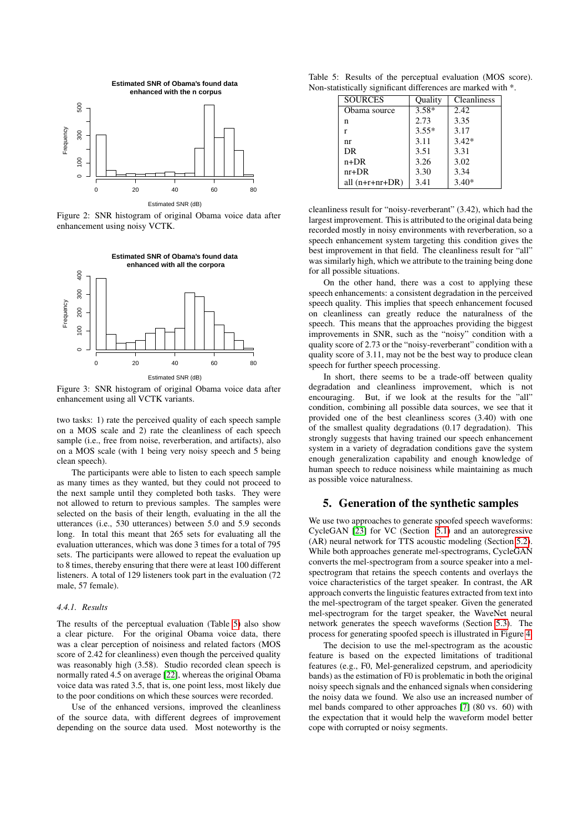<span id="page-4-0"></span>

Figure 2: SNR histogram of original Obama voice data after enhancement using noisy VCTK.

<span id="page-4-1"></span>

Figure 3: SNR histogram of original Obama voice data after enhancement using all VCTK variants.

two tasks: 1) rate the perceived quality of each speech sample on a MOS scale and 2) rate the cleanliness of each speech sample (i.e., free from noise, reverberation, and artifacts), also on a MOS scale (with 1 being very noisy speech and 5 being clean speech).

The participants were able to listen to each speech sample as many times as they wanted, but they could not proceed to the next sample until they completed both tasks. They were not allowed to return to previous samples. The samples were selected on the basis of their length, evaluating in the all the utterances (i.e., 530 utterances) between 5.0 and 5.9 seconds long. In total this meant that 265 sets for evaluating all the evaluation utterances, which was done 3 times for a total of 795 sets. The participants were allowed to repeat the evaluation up to 8 times, thereby ensuring that there were at least 100 different listeners. A total of 129 listeners took part in the evaluation (72 male, 57 female).

#### *4.4.1. Results*

The results of the perceptual evaluation (Table [5\)](#page-4-2) also show a clear picture. For the original Obama voice data, there was a clear perception of noisiness and related factors (MOS score of 2.42 for cleanliness) even though the perceived quality was reasonably high (3.58). Studio recorded clean speech is normally rated 4.5 on average [\[22\]](#page-8-20), whereas the original Obama voice data was rated 3.5, that is, one point less, most likely due to the poor conditions on which these sources were recorded.

Use of the enhanced versions, improved the cleanliness of the source data, with different degrees of improvement depending on the source data used. Most noteworthy is the

<span id="page-4-2"></span>Table 5: Results of the perceptual evaluation (MOS score). Non-statistically significant differences are marked with \*.

| <b>SOURCES</b>    | Ouality | <b>Cleanliness</b> |
|-------------------|---------|--------------------|
| Obama source      | $3.58*$ | 2.42.              |
| n                 | 2.73    | 3.35               |
| r                 | $3.55*$ | 3.17               |
| nr                | 3.11    | $3.42*$            |
| <b>DR</b>         | 3.51    | 3.31               |
| n+DR              | 3.26    | 3.02               |
| $nr+DR$           | 3.30    | 3.34               |
| all $(n+r+nr+DR)$ | 3.41    | $3.40*$            |

cleanliness result for "noisy-reverberant" (3.42), which had the largest improvement. This is attributed to the original data being recorded mostly in noisy environments with reverberation, so a speech enhancement system targeting this condition gives the best improvement in that field. The cleanliness result for "all" was similarly high, which we attribute to the training being done for all possible situations.

On the other hand, there was a cost to applying these speech enhancements: a consistent degradation in the perceived speech quality. This implies that speech enhancement focused on cleanliness can greatly reduce the naturalness of the speech. This means that the approaches providing the biggest improvements in SNR, such as the "noisy" condition with a quality score of 2.73 or the "noisy-reverberant" condition with a quality score of 3.11, may not be the best way to produce clean speech for further speech processing.

In short, there seems to be a trade-off between quality degradation and cleanliness improvement, which is not encouraging. But, if we look at the results for the "all" condition, combining all possible data sources, we see that it provided one of the best cleanliness scores (3.40) with one of the smallest quality degradations (0.17 degradation). This strongly suggests that having trained our speech enhancement system in a variety of degradation conditions gave the system enough generalization capability and enough knowledge of human speech to reduce noisiness while maintaining as much as possible voice naturalness.

### 5. Generation of the synthetic samples

We use two approaches to generate spoofed speech waveforms: CycleGAN [\[23\]](#page-8-21) for VC (Section [5.1\)](#page-5-0) and an autoregressive (AR) neural network for TTS acoustic modeling (Section [5.2\)](#page-5-1). While both approaches generate mel-spectrograms, CycleGAN converts the mel-spectrogram from a source speaker into a melspectrogram that retains the speech contents and overlays the voice characteristics of the target speaker. In contrast, the AR approach converts the linguistic features extracted from text into the mel-spectrogram of the target speaker. Given the generated mel-spectrogram for the target speaker, the WaveNet neural network generates the speech waveforms (Section [5.3\)](#page-6-0). The process for generating spoofed speech is illustrated in Figure [4.](#page-5-2)

The decision to use the mel-spectrogram as the acoustic feature is based on the expected limitations of traditional features (e.g., F0, Mel-generalized cepstrum, and aperiodicity bands) as the estimation of F0 is problematic in both the original noisy speech signals and the enhanced signals when considering the noisy data we found. We also use an increased number of mel bands compared to other approaches [\[7\]](#page-8-5) (80 vs. 60) with the expectation that it would help the waveform model better cope with corrupted or noisy segments.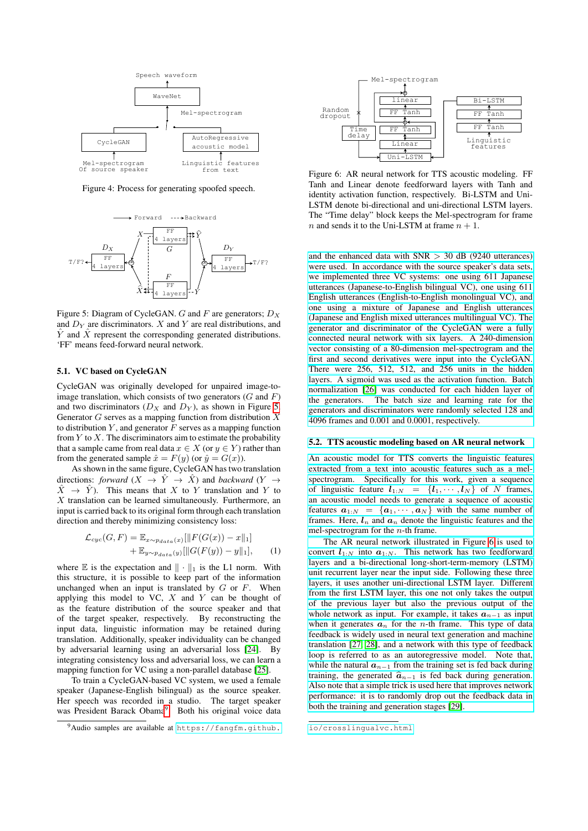<span id="page-5-2"></span>

Figure 4: Process for generating spoofed speech.

<span id="page-5-3"></span>

Figure 5: Diagram of CycleGAN. G and F are generators;  $D_X$ and  $D<sub>Y</sub>$  are discriminators. X and Y are real distributions, and  $\hat{Y}$  and  $\hat{X}$  represent the corresponding generated distributions. 'FF' means feed-forward neural network.

#### <span id="page-5-0"></span>5.1. VC based on CycleGAN

CycleGAN was originally developed for unpaired image-toimage translation, which consists of two generators  $(G \text{ and } F)$ and two discriminators  $(D_X \text{ and } D_Y)$ , as shown in Figure [5.](#page-5-3) Generator  $G$  serves as a mapping function from distribution  $X$ to distribution  $Y$ , and generator  $F$  serves as a mapping function from  $Y$  to  $X$ . The discriminators aim to estimate the probability that a sample came from real data  $x \in X$  (or  $y \in Y$ ) rather than from the generated sample  $\hat{x} = F(y)$  (or  $\hat{y} = G(x)$ ).

As shown in the same figure, CycleGAN has two translation directions: *forward*  $(X \rightarrow \hat{Y} \rightarrow \hat{X})$  and *backward*  $(Y \rightarrow$  $\hat{X} \rightarrow \hat{Y}$ ). This means that X to Y translation and Y to  $X$  translation can be learned simultaneously. Furthermore, an input is carried back to its original form through each translation direction and thereby minimizing consistency loss:

$$
\mathcal{L}_{cyc}(G, F) = \mathbb{E}_{x \sim p_{data}(x)}[\|F(G(x)) - x\|_1] + \mathbb{E}_{y \sim p_{data}(y)}[\|G(F(y)) - y\|_1], \quad (1)
$$

where  $E$  is the expectation and  $\|\cdot\|_1$  is the L1 norm. With this structure, it is possible to keep part of the information unchanged when an input is translated by  $G$  or  $F$ . When applying this model to VC,  $X$  and  $Y$  can be thought of as the feature distribution of the source speaker and that of the target speaker, respectively. By reconstructing the input data, linguistic information may be retained during translation. Additionally, speaker individuality can be changed by adversarial learning using an adversarial loss [\[24\]](#page-8-22). By integrating consistency loss and adversarial loss, we can learn a mapping function for VC using a non-parallel database [\[25\]](#page-8-23).

To train a CycleGAN-based VC system, we used a female speaker (Japanese-English bilingual) as the source speaker. Her speech was recorded in a studio. The target speaker was President Barack Obama<sup>[9](#page-5-4)</sup>. Both his original voice data

<span id="page-5-5"></span>

Figure 6: AR neural network for TTS acoustic modeling. FF Tanh and Linear denote feedforward layers with Tanh and identity activation function, respectively. Bi-LSTM and Uni-LSTM denote bi-directional and uni-directional LSTM layers. The "Time delay" block keeps the Mel-spectrogram for frame  $n$  and sends it to the Uni-LSTM at frame  $n + 1$ .

and the enhanced data with  $SNR > 30$  dB (9240 utterances) [were used. In accordance with the source speaker's data sets,](https://fangfm.github.io/crosslingualvc.html) [we implemented three VC systems: one using 611 Japanese](https://fangfm.github.io/crosslingualvc.html) [utterances \(Japanese-to-English bilingual VC\), one using 611](https://fangfm.github.io/crosslingualvc.html) [English utterances \(English-to-English monolingual VC\), and](https://fangfm.github.io/crosslingualvc.html) [one using a mixture of Japanese and English utterances](https://fangfm.github.io/crosslingualvc.html) [\(Japanese and English mixed utterances multilingual VC\). The](https://fangfm.github.io/crosslingualvc.html) [generator and discriminator of the CycleGAN were a fully](https://fangfm.github.io/crosslingualvc.html) [connected neural network with six layers. A 240-dimension](https://fangfm.github.io/crosslingualvc.html) [vector consisting of a 80-dimension mel-spectrogram and the](https://fangfm.github.io/crosslingualvc.html) [first and second derivatives were input into the CycleGAN.](https://fangfm.github.io/crosslingualvc.html) [There were 256, 512, 512, and 256 units in the hidden](https://fangfm.github.io/crosslingualvc.html) [layers. A sigmoid was used as the activation function. Batch](https://fangfm.github.io/crosslingualvc.html) [normalization \[26\] was conducted for each hidden layer of](https://fangfm.github.io/crosslingualvc.html) [the generators. The batch size and learning rate for the](https://fangfm.github.io/crosslingualvc.html) [generators and discriminators were randomly selected 128 and](https://fangfm.github.io/crosslingualvc.html) [4096 frames and 0.001 and 0.0001, respectively.](https://fangfm.github.io/crosslingualvc.html)

#### <span id="page-5-1"></span>[5.2. TTS acoustic modeling based on AR neural network](https://fangfm.github.io/crosslingualvc.html)

[An acoustic model for TTS converts the linguistic features](https://fangfm.github.io/crosslingualvc.html) [extracted from a text into acoustic features such as a mel](https://fangfm.github.io/crosslingualvc.html)[spectrogram. Specifically for this work, given a sequence](https://fangfm.github.io/crosslingualvc.html) [of linguistic feature](https://fangfm.github.io/crosslingualvc.html)  $l_{1:N} = \{l_1, \dots, l_N\}$  of N frames, [an acoustic model needs to generate a sequence of acoustic](https://fangfm.github.io/crosslingualvc.html) features  $a_{1:N} = \{a_1, \dots, a_N\}$  [with the same number of](https://fangfm.github.io/crosslingualvc.html) frames. Here,  $l_n$  and  $a_n$  [denote the linguistic features and the](https://fangfm.github.io/crosslingualvc.html) [mel-spectrogram for the](https://fangfm.github.io/crosslingualvc.html)  $n$ -th frame.

[The AR neural network illustrated in Figure 6 is used to](https://fangfm.github.io/crosslingualvc.html) convert  $l_{1:N}$  into  $a_{1:N}$ [. This network has two feedforward](https://fangfm.github.io/crosslingualvc.html) [layers and a bi-directional long-short-term-memory \(LSTM\)](https://fangfm.github.io/crosslingualvc.html) [unit recurrent layer near the input side. Following these three](https://fangfm.github.io/crosslingualvc.html) [layers, it uses another uni-directional LSTM layer. Different](https://fangfm.github.io/crosslingualvc.html) [from the first LSTM layer, this one not only takes the output](https://fangfm.github.io/crosslingualvc.html) [of the previous layer but also the previous output of the](https://fangfm.github.io/crosslingualvc.html) [whole network as input. For example, it takes](https://fangfm.github.io/crosslingualvc.html)  $a_{n-1}$  as input when it generates  $a_n$  for the n[-th frame. This type of data](https://fangfm.github.io/crosslingualvc.html) [feedback is widely used in neural text generation and machine](https://fangfm.github.io/crosslingualvc.html) [translation \[27, 28\], and a network with this type of feedback](https://fangfm.github.io/crosslingualvc.html) [loop is referred to as an autoregressive model. Note that,](https://fangfm.github.io/crosslingualvc.html) while the natural  $a_{n-1}$  [from the training set is fed back during](https://fangfm.github.io/crosslingualvc.html) training, the generated  $\hat{a}_{n-1}$  [is fed back during generation.](https://fangfm.github.io/crosslingualvc.html) [Also note that a simple trick is used here that improves network](https://fangfm.github.io/crosslingualvc.html) [performance: it is to randomly drop out the feedback data in](https://fangfm.github.io/crosslingualvc.html) [both the training and generation stages \[29\].](https://fangfm.github.io/crosslingualvc.html)

<span id="page-5-4"></span><sup>9</sup>Audio samples are available at [https://fangfm.github.](https://fangfm.github.io/crosslingualvc.html)

[io/crosslingualvc.html](https://fangfm.github.io/crosslingualvc.html)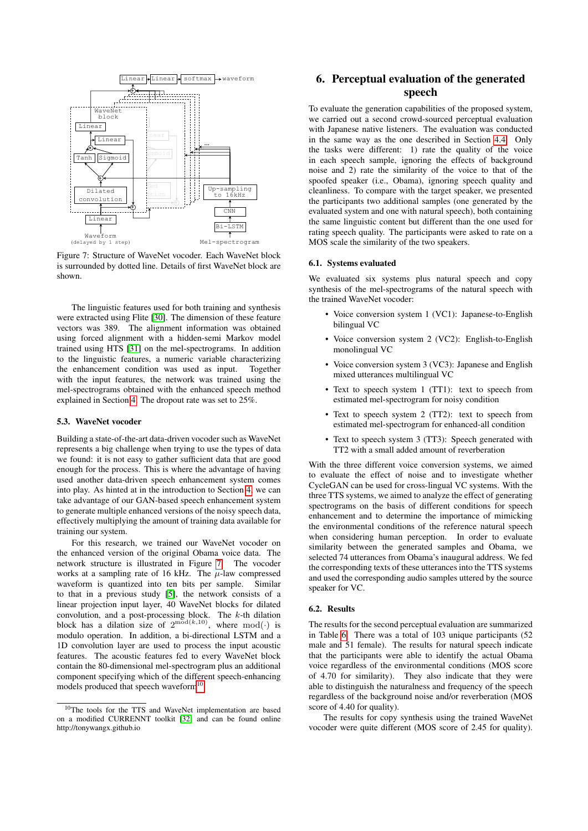<span id="page-6-1"></span>

Figure 7: Structure of WaveNet vocoder. Each WaveNet block is surrounded by dotted line. Details of first WaveNet block are shown.

The linguistic features used for both training and synthesis were extracted using Flite [\[30\]](#page-8-28). The dimension of these feature vectors was 389. The alignment information was obtained using forced alignment with a hidden-semi Markov model trained using HTS [\[31\]](#page-8-29) on the mel-spectrograms. In addition to the linguistic features, a numeric variable characterizing the enhancement condition was used as input. Together with the input features, the network was trained using the mel-spectrograms obtained with the enhanced speech method explained in Section [4.](#page-3-4) The dropout rate was set to 25%.

#### <span id="page-6-0"></span>5.3. WaveNet vocoder

Building a state-of-the-art data-driven vocoder such as WaveNet represents a big challenge when trying to use the types of data we found: it is not easy to gather sufficient data that are good enough for the process. This is where the advantage of having used another data-driven speech enhancement system comes into play. As hinted at in the introduction to Section [4,](#page-3-4) we can take advantage of our GAN-based speech enhancement system to generate multiple enhanced versions of the noisy speech data, effectively multiplying the amount of training data available for training our system.

For this research, we trained our WaveNet vocoder on the enhanced version of the original Obama voice data. The network structure is illustrated in Figure [7.](#page-6-1) The vocoder works at a sampling rate of 16 kHz. The  $\mu$ -law compressed waveform is quantized into ten bits per sample. Similar to that in a previous study [\[5\]](#page-8-3), the network consists of a linear projection input layer, 40 WaveNet blocks for dilated convolution, and a post-processing block. The  $k$ -th dilation block has a dilation size of  $2^{\text{mod}(k,10)}$ , where mod(.) is modulo operation. In addition, a bi-directional LSTM and a 1D convolution layer are used to process the input acoustic features. The acoustic features fed to every WaveNet block contain the 80-dimensional mel-spectrogram plus an additional component specifying which of the different speech-enhancing models produced that speech waveform<sup>[10](#page-6-2)</sup>.

## 6. Perceptual evaluation of the generated speech

To evaluate the generation capabilities of the proposed system, we carried out a second crowd-sourced perceptual evaluation with Japanese native listeners. The evaluation was conducted in the same way as the one described in Section [4.4.](#page-3-5) Only the tasks were different: 1) rate the quality of the voice in each speech sample, ignoring the effects of background noise and 2) rate the similarity of the voice to that of the spoofed speaker (i.e., Obama), ignoring speech quality and cleanliness. To compare with the target speaker, we presented the participants two additional samples (one generated by the evaluated system and one with natural speech), both containing the same linguistic content but different than the one used for rating speech quality. The participants were asked to rate on a MOS scale the similarity of the two speakers.

#### 6.1. Systems evaluated

We evaluated six systems plus natural speech and copy synthesis of the mel-spectrograms of the natural speech with the trained WaveNet vocoder:

- Voice conversion system 1 (VC1): Japanese-to-English bilingual VC
- Voice conversion system 2 (VC2): English-to-English monolingual VC
- Voice conversion system 3 (VC3): Japanese and English mixed utterances multilingual VC
- Text to speech system 1 (TT1): text to speech from estimated mel-spectrogram for noisy condition
- Text to speech system 2 (TT2): text to speech from estimated mel-spectrogram for enhanced-all condition
- Text to speech system 3 (TT3): Speech generated with TT2 with a small added amount of reverberation

With the three different voice conversion systems, we aimed to evaluate the effect of noise and to investigate whether CycleGAN can be used for cross-lingual VC systems. With the three TTS systems, we aimed to analyze the effect of generating spectrograms on the basis of different conditions for speech enhancement and to determine the importance of mimicking the environmental conditions of the reference natural speech when considering human perception. In order to evaluate similarity between the generated samples and Obama, we selected 74 utterances from Obama's inaugural address. We fed the corresponding texts of these utterances into the TTS systems and used the corresponding audio samples uttered by the source speaker for VC.

#### 6.2. Results

The results for the second perceptual evaluation are summarized in Table [6.](#page-7-1) There was a total of 103 unique participants (52 male and 51 female). The results for natural speech indicate that the participants were able to identify the actual Obama voice regardless of the environmental conditions (MOS score of 4.70 for similarity). They also indicate that they were able to distinguish the naturalness and frequency of the speech regardless of the background noise and/or reverberation (MOS score of 4.40 for quality).

The results for copy synthesis using the trained WaveNet vocoder were quite different (MOS score of 2.45 for quality).

<span id="page-6-2"></span> $10$ The tools for the TTS and WaveNet implementation are based on a modified CURRENNT toolkit [\[32\]](#page-8-30) and can be found online http://tonywangx.github.io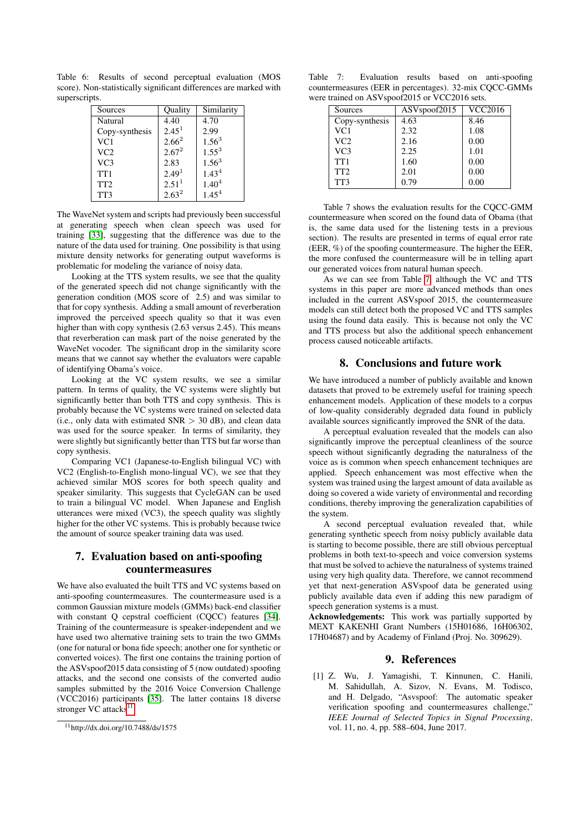<span id="page-7-1"></span>Table 6: Results of second perceptual evaluation (MOS score). Non-statistically significant differences are marked with superscripts.

| Sources         | Quality           | Similarity |
|-----------------|-------------------|------------|
| Natural         | 4.40              | 4.70       |
| Copy-synthesis  | 2.45 <sup>1</sup> | 2.99       |
| VC <sub>1</sub> | $2.66^{2}$        | $1.56^{3}$ |
| VC2             | $2.67^{2}$        | $1.55^{3}$ |
| VC3             | 2.83              | $1.56^{3}$ |
| TT <sub>1</sub> | 2.49 <sup>1</sup> | $1.43^{4}$ |
| TT <sub>2</sub> | 2.51 <sup>1</sup> | $1.40^{4}$ |
| TT3             | $2.63^{2}$        | $1.45^{4}$ |

The WaveNet system and scripts had previously been successful at generating speech when clean speech was used for training [\[33\]](#page-8-31), suggesting that the difference was due to the nature of the data used for training. One possibility is that using mixture density networks for generating output waveforms is problematic for modeling the variance of noisy data.

Looking at the TTS system results, we see that the quality of the generated speech did not change significantly with the generation condition (MOS score of 2.5) and was similar to that for copy synthesis. Adding a small amount of reverberation improved the perceived speech quality so that it was even higher than with copy synthesis (2.63 versus 2.45). This means that reverberation can mask part of the noise generated by the WaveNet vocoder. The significant drop in the similarity score means that we cannot say whether the evaluators were capable of identifying Obama's voice.

Looking at the VC system results, we see a similar pattern. In terms of quality, the VC systems were slightly but significantly better than both TTS and copy synthesis. This is probably because the VC systems were trained on selected data (i.e., only data with estimated  $SNR > 30$  dB), and clean data was used for the source speaker. In terms of similarity, they were slightly but significantly better than TTS but far worse than copy synthesis.

Comparing VC1 (Japanese-to-English bilingual VC) with VC2 (English-to-English mono-lingual VC), we see that they achieved similar MOS scores for both speech quality and speaker similarity. This suggests that CycleGAN can be used to train a bilingual VC model. When Japanese and English utterances were mixed (VC3), the speech quality was slightly higher for the other VC systems. This is probably because twice the amount of source speaker training data was used.

## 7. Evaluation based on anti-spoofing countermeasures

We have also evaluated the built TTS and VC systems based on anti-spoofing countermeasures. The countermeasure used is a common Gaussian mixture models (GMMs) back-end classifier with constant Q cepstral coefficient (CQCC) features [\[34\]](#page-8-32). Training of the countermeasure is speaker-independent and we have used two alternative training sets to train the two GMMs (one for natural or bona fide speech; another one for synthetic or converted voices). The first one contains the training portion of the ASVspoof2015 data consisting of 5 (now outdated) spoofing attacks, and the second one consists of the converted audio samples submitted by the 2016 Voice Conversion Challenge (VCC2016) participants [\[35\]](#page-8-33). The latter contains 18 diverse stronger VC attacks<sup>[11](#page-7-2)</sup>.

<span id="page-7-3"></span>Table 7: Evaluation results based on anti-spoofing countermeasures (EER in percentages). 32-mix CQCC-GMMs were trained on ASVspoof2015 or VCC2016 sets.

| Sources         | ASV <sub>spoof2015</sub> | $\overline{V}$ CC2016 |
|-----------------|--------------------------|-----------------------|
| Copy-synthesis  | 4.63                     | 8.46                  |
| VC <sub>1</sub> | 2.32                     | 1.08                  |
| VC2             | 2.16                     | 0.00                  |
| VC <sub>3</sub> | 2.25                     | 1.01                  |
| TT <sub>1</sub> | 1.60                     | 0.00                  |
| TT <sub>2</sub> | 2.01                     | 0.00                  |
| TT3             | 0.79                     | 0.00                  |

Table 7 shows the evaluation results for the CQCC-GMM countermeasure when scored on the found data of Obama (that is, the same data used for the listening tests in a previous section). The results are presented in terms of equal error rate (EER, %) of the spoofing countermeasure. The higher the EER, the more confused the countermeasure will be in telling apart our generated voices from natural human speech.

As we can see from Table [7,](#page-7-3) although the VC and TTS systems in this paper are more advanced methods than ones included in the current ASVspoof 2015, the countermeasure models can still detect both the proposed VC and TTS samples using the found data easily. This is because not only the VC and TTS process but also the additional speech enhancement process caused noticeable artifacts.

## 8. Conclusions and future work

We have introduced a number of publicly available and known datasets that proved to be extremely useful for training speech enhancement models. Application of these models to a corpus of low-quality considerably degraded data found in publicly available sources significantly improved the SNR of the data.

A perceptual evaluation revealed that the models can also significantly improve the perceptual cleanliness of the source speech without significantly degrading the naturalness of the voice as is common when speech enhancement techniques are applied. Speech enhancement was most effective when the system was trained using the largest amount of data available as doing so covered a wide variety of environmental and recording conditions, thereby improving the generalization capabilities of the system.

A second perceptual evaluation revealed that, while generating synthetic speech from noisy publicly available data is starting to become possible, there are still obvious perceptual problems in both text-to-speech and voice conversion systems that must be solved to achieve the naturalness of systems trained using very high quality data. Therefore, we cannot recommend yet that next-generation ASVspoof data be generated using publicly available data even if adding this new paradigm of speech generation systems is a must.

Acknowledgements: This work was partially supported by MEXT KAKENHI Grant Numbers (15H01686, 16H06302, 17H04687) and by Academy of Finland (Proj. No. 309629).

#### 9. References

<span id="page-7-0"></span>[1] Z. Wu, J. Yamagishi, T. Kinnunen, C. Hanili, M. Sahidullah, A. Sizov, N. Evans, M. Todisco, and H. Delgado, "Asvspoof: The automatic speaker verification spoofing and countermeasures challenge," *IEEE Journal of Selected Topics in Signal Processing*, vol. 11, no. 4, pp. 588–604, June 2017.

<span id="page-7-2"></span><sup>11</sup>http://dx.doi.org/10.7488/ds/1575